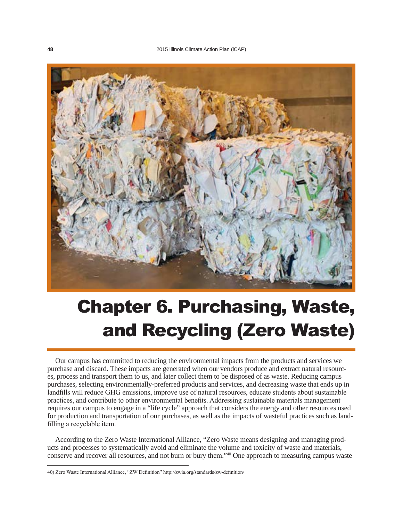

# Chapter 6. Purchasing, Waste, and Recycling (Zero Waste)

Our campus has committed to reducing the environmental impacts from the products and services we purchase and discard. These impacts are generated when our vendors produce and extract natural resources, process and transport them to us, and later collect them to be disposed of as waste. Reducing campus purchases, selecting environmentally-preferred products and services, and decreasing waste that ends up in landfills will reduce GHG emissions, improve use of natural resources, educate students about sustainable practices, and contribute to other environmental benefits. Addressing sustainable materials management requires our campus to engage in a "life cycle" approach that considers the energy and other resources used for production and transportation of our purchases, as well as the impacts of wasteful practices such as landfilling a recyclable item.

According to the Zero Waste International Alliance, "Zero Waste means designing and managing products and processes to systematically avoid and eliminate the volume and toxicity of waste and materials, conserve and recover all resources, and not burn or bury them."40 One approach to measuring campus waste

<sup>40)</sup> Zero Waste International Alliance, "ZW Definition" http://zwia.org/standards/zw-definition/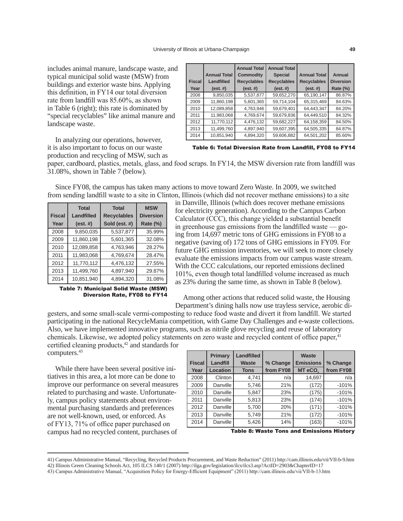includes animal manure, landscape waste, and typical municipal solid waste (MSW) from buildings and exterior waste bins. Applying this definition, in FY14 our total diversion rate from landfill was 85.60%, as shown in Table 6 (right); this rate is dominated by "special recyclables" like animal manure and landscape waste.

|               |                     | <b>Annual Total</b> | <b>Annual Total</b> |                     |                  |
|---------------|---------------------|---------------------|---------------------|---------------------|------------------|
|               | <b>Annual Total</b> | <b>Commodity</b>    | <b>Special</b>      | <b>Annual Total</b> | Annual           |
| <b>Fiscal</b> | Landfilled          | <b>Recyclables</b>  | <b>Recyclables</b>  | <b>Recyclables</b>  | <b>Diversion</b> |
| Year          | (est.  #)           | (est.  #)           | (est.  #)           | (est.  #)           | <b>Rate (%)</b>  |
| 2008          | 9,850,035           | 5,537,877           | 59,652,270          | 65,190,147          | 86.87%           |
| 2009          | 11,860,198          | 5,601,365           | 59,714,104          | 65,315,469          | 84.63%           |
| 2010          | 12,089,858          | 4,763,946           | 59,679,401          | 64,443,347          | 84.20%           |
| 2011          | 11.983.068          | 4.769.674           | 59.679.836          | 64.449.510          | 84.32%           |
| 2012          | 11,770,112          | 4,476,132           | 59,682,227          | 64,158,359          | 84.50%           |
| 2013          | 11,499,760          | 4,897,940           | 59,607,395          | 64,505,335          | 84.87%           |
| 2014          | 10,851,940          | 4,894,320           | 59,606,882          | 64,501,202          | 85.60%           |

In analyzing our operations, however, it is also important to focus on our waste production and recycling of MSW, such as

Table 6: Total Diversion Rate from Landfill, FY08 to FY14

paper, cardboard, plastics, metals, glass, and food scraps. In FY14, the MSW diversion rate from landfill was 31.08%, shown in Table 7 (below).

Since FY08, the campus has taken many actions to move toward Zero Waste. In 2009, we switched from sending landfill waste to a site in Clinton, Illinois (which did not recover methane emissions) to a site

|               | <b>Total</b> | <b>Total</b>       | <b>MSW</b>       |  |
|---------------|--------------|--------------------|------------------|--|
| <b>Fiscal</b> | Landfilled   | <b>Recyclables</b> | <b>Diversion</b> |  |
| Year          | (est.  #)    | Sold (est. #)      | Rate (%)         |  |
| 2008          | 9,850,035    | 5,537,877          | 35.99%           |  |
| 2009          | 11,860,198   | 5,601,365          | 32.08%           |  |
| 2010          | 12,089,858   | 4,763,946          | 28.27%           |  |
| 2011          | 11,983,068   | 4,769,674          | 28.47%           |  |
| 2012          | 11,770,112   | 4,476,132          | 27.55%           |  |
| 2013          | 11,499,760   | 4,897,940          | 29.87%           |  |
| 2014          | 10,851,940   | 4,894,320          | 31.08%           |  |

Table 7: Municipal Solid Waste (MSW) Diversion Rate, FY08 to FY14

in Danville, Illinois (which does recover methane emissions for electricity generation). According to the Campus Carbon Calculator (CCC), this change yielded a substantial benefit in greenhouse gas emissions from the landfilled waste — going from 14,697 metric tons of GHG emissions in FY08 to a negative (saving of) 172 tons of GHG emissions in FY09. For future GHG emission inventories, we will seek to more closely evaluate the emissions impacts from our campus waste stream. With the CCC calculations, our reported emissions declined 101%, even though total landfilled volume increased as much as 23% during the same time, as shown in Table 8 (below).

Among other actions that reduced solid waste, the Housing Department's dining halls now use trayless service, aerobic di-

gesters, and some small-scale vermi-composting to reduce food waste and divert it from landfill. We started participating in the national RecycleMania competition, with Game Day Challenges and e-waste collections. Also, we have implemented innovative programs, such as nitrile glove recycling and reuse of laboratory chemicals. Likewise, we adopted policy statements on zero waste and recycled content of office paper,<sup>41</sup> certified cleaning products,42 and standards for computers.43

While there have been several positive initiatives in this area, a lot more can be done to improve our performance on several measures related to purchasing and waste. Unfortunately, campus policy statements about environmental purchasing standards and preferences are not well-known, used, or enforced. As of FY13, 71% of office paper purchased on campus had no recycled content, purchases of

|               | Primary         | <b>Landfilled</b> |           | Waste               |           |
|---------------|-----------------|-------------------|-----------|---------------------|-----------|
| <b>Fiscal</b> | Landfill        | <b>Waste</b>      | % Change  | <b>Emissions</b>    | % Change  |
| Year          | <b>Location</b> | <b>Tons</b>       | from FY08 | MT eCO <sub>2</sub> | from FY08 |
| 2008          | Clinton         | 4,741             | n/a       | 14,697              | n/a       |
| 2009          | Danville        | 5,746             | 21%       | (172)               | $-101%$   |
| 2010          | Danville        | 5.847             | 23%       | (175)               | $-101%$   |
| 2011          | Danville        | 5,813             | 23%       | (174)               | $-101%$   |
| 2012          | Danville        | 5,700             | 20%       | (171)               | $-101%$   |
| 2013          | Danville        | 5,749             | 21%       | (172)               | $-101%$   |
| 2014          | Danville        | 5,426             | 14%       | (163)               | $-101%$   |

Table 8: Waste Tons and Emissions History

<sup>41)</sup> Campus Administrative Manual, "Recycling, Recycled Products Procurement, and Waste Reduction" (2011) http://cam.illinois.edu/vii/VII-b-9.htm

<sup>42)</sup> Illinois Green Cleaning Schools Act, 105 ILCS 140/1 (2007) http://ilga.gov/legislation/ilcs/ilcs3.asp?ActID=2903&ChapterID=17

<sup>43)</sup> Campus Administrative Manual, "Acquisition Policy for Energy-Efficient Equipment" (2011) http://cam.illinois.edu/vii/VII-b-13.htm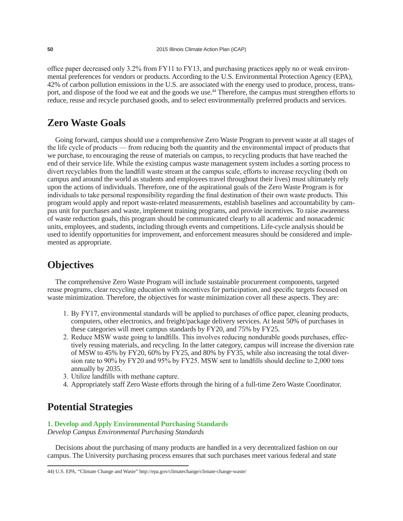office paper decreased only 3.2% from FY11 to FY13, and purchasing practices apply no or weak environmental preferences for vendors or products. According to the U.S. Environmental Protection Agency (EPA), 42% of carbon pollution emissions in the U.S. are associated with the energy used to produce, process, transport, and dispose of the food we eat and the goods we use.44 Therefore, the campus must strengthen efforts to reduce, reuse and recycle purchased goods, and to select environmentally preferred products and services.

## **Zero Waste Goals**

Going forward, campus should use a comprehensive Zero Waste Program to prevent waste at all stages of the life cycle of products — from reducing both the quantity and the environmental impact of products that we purchase, to encouraging the reuse of materials on campus, to recycling products that have reached the end of their service life. While the existing campus waste management system includes a sorting process to divert recyclables from the landfill waste stream at the campus scale, efforts to increase recycling (both on campus and around the world as students and employees travel throughout their lives) must ultimately rely upon the actions of individuals. Therefore, one of the aspirational goals of the Zero Waste Program is for individuals to take personal responsibility regarding the final destination of their own waste products. This program would apply and report waste-related measurements, establish baselines and accountability by campus unit for purchases and waste, implement training programs, and provide incentives. To raise awareness of waste reduction goals, this program should be communicated clearly to all academic and nonacademic units, employees, and students, including through events and competitions. Life-cycle analysis should be used to identify opportunities for improvement, and enforcement measures should be considered and implemented as appropriate.

## **Objectives**

The comprehensive Zero Waste Program will include sustainable procurement components, targeted reuse programs, clear recycling education with incentives for participation, and specific targets focused on waste minimization. Therefore, the objectives for waste minimization cover all these aspects. They are:

- 1. By FY17, environmental standards will be applied to purchases of office paper, cleaning products, computers, other electronics, and freight/package delivery services. At least 50% of purchases in these categories will meet campus standards by FY20, and 75% by FY25.
- 2. Reduce MSW waste going to landfills. This involves reducing nondurable goods purchases, effectively reusing materials, and recycling. In the latter category, campus will increase the diversion rate of MSW to 45% by FY20, 60% by FY25, and 80% by FY35, while also increasing the total diversion rate to 90% by FY20 and 95% by FY25. MSW sent to landfills should decline to 2,000 tons annually by 2035.
- 3. Utilize landfills with methane capture.
- 4. Appropriately staff Zero Waste efforts through the hiring of a full-time Zero Waste Coordinator.

## **Potential Strategies**

### **1. Develop and Apply Environmental Purchasing Standards**

*Develop Campus Environmental Purchasing Standards*

Decisions about the purchasing of many products are handled in a very decentralized fashion on our campus. The University purchasing process ensures that such purchases meet various federal and state

<sup>44)</sup> U.S. EPA, "Climate Change and Waste" http://epa.gov/climatechange/climate-change-waste/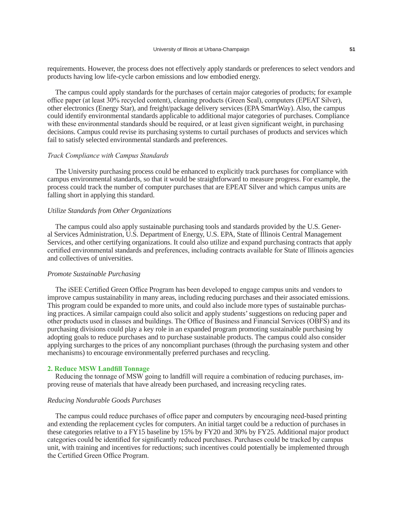requirements. However, the process does not effectively apply standards or preferences to select vendors and products having low life-cycle carbon emissions and low embodied energy.

The campus could apply standards for the purchases of certain major categories of products; for example office paper (at least 30% recycled content), cleaning products (Green Seal), computers (EPEAT Silver), other electronics (Energy Star), and freight/package delivery services (EPA SmartWay). Also, the campus could identify environmental standards applicable to additional major categories of purchases. Compliance with these environmental standards should be required, or at least given significant weight, in purchasing decisions. Campus could revise its purchasing systems to curtail purchases of products and services which fail to satisfy selected environmental standards and preferences.

#### *Track Compliance with Campus Standards*

The University purchasing process could be enhanced to explicitly track purchases for compliance with campus environmental standards, so that it would be straightforward to measure progress. For example, the process could track the number of computer purchases that are EPEAT Silver and which campus units are falling short in applying this standard.

### *Utilize Standards from Other Organizations*

The campus could also apply sustainable purchasing tools and standards provided by the U.S. General Services Administration, U.S. Department of Energy, U.S. EPA, State of Illinois Central Management Services, and other certifying organizations. It could also utilize and expand purchasing contracts that apply certified environmental standards and preferences, including contracts available for State of Illinois agencies and collectives of universities.

#### *Promote Sustainable Purchasing*

The iSEE Certified Green Office Program has been developed to engage campus units and vendors to improve campus sustainability in many areas, including reducing purchases and their associated emissions. This program could be expanded to more units, and could also include more types of sustainable purchasing practices. A similar campaign could also solicit and apply students' suggestions on reducing paper and other products used in classes and buildings. The Office of Business and Financial Services (OBFS) and its purchasing divisions could play a key role in an expanded program promoting sustainable purchasing by adopting goals to reduce purchases and to purchase sustainable products. The campus could also consider applying surcharges to the prices of any noncompliant purchases (through the purchasing system and other mechanisms) to encourage environmentally preferred purchases and recycling.

#### **2. Reduce MSW Landfill Tonnage**

Reducing the tonnage of MSW going to landfill will require a combination of reducing purchases, improving reuse of materials that have already been purchased, and increasing recycling rates.

#### *Reducing Nondurable Goods Purchases*

The campus could reduce purchases of office paper and computers by encouraging need-based printing and extending the replacement cycles for computers. An initial target could be a reduction of purchases in these categories relative to a FY15 baseline by 15% by FY20 and 30% by FY25. Additional major product categories could be identified for significantly reduced purchases. Purchases could be tracked by campus unit, with training and incentives for reductions; such incentives could potentially be implemented through the Certified Green Office Program.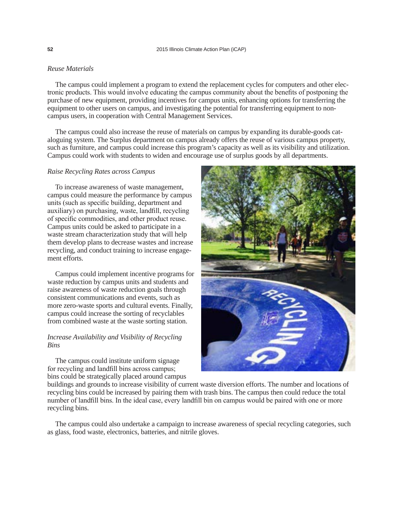#### *Reuse Materials*

The campus could implement a program to extend the replacement cycles for computers and other electronic products. This would involve educating the campus community about the benefits of postponing the purchase of new equipment, providing incentives for campus units, enhancing options for transferring the equipment to other users on campus, and investigating the potential for transferring equipment to noncampus users, in cooperation with Central Management Services.

The campus could also increase the reuse of materials on campus by expanding its durable-goods cataloguing system. The Surplus department on campus already offers the reuse of various campus property, such as furniture, and campus could increase this program's capacity as well as its visibility and utilization. Campus could work with students to widen and encourage use of surplus goods by all departments.

#### *Raise Recycling Rates across Campus*

To increase awareness of waste management, campus could measure the performance by campus units (such as specific building, department and auxiliary) on purchasing, waste, landfill, recycling of specific commodities, and other product reuse. Campus units could be asked to participate in a waste stream characterization study that will help them develop plans to decrease wastes and increase recycling, and conduct training to increase engagement efforts.

Campus could implement incentive programs for waste reduction by campus units and students and raise awareness of waste reduction goals through consistent communications and events, such as more zero-waste sports and cultural events. Finally, campus could increase the sorting of recyclables from combined waste at the waste sorting station.

#### *Increase Availability and Visibility of Recycling Bins*

The campus could institute uniform signage for recycling and landfill bins across campus; bins could be strategically placed around campus



buildings and grounds to increase visibility of current waste diversion efforts. The number and locations of recycling bins could be increased by pairing them with trash bins. The campus then could reduce the total number of landfill bins. In the ideal case, every landfill bin on campus would be paired with one or more recycling bins.

The campus could also undertake a campaign to increase awareness of special recycling categories, such as glass, food waste, electronics, batteries, and nitrile gloves.